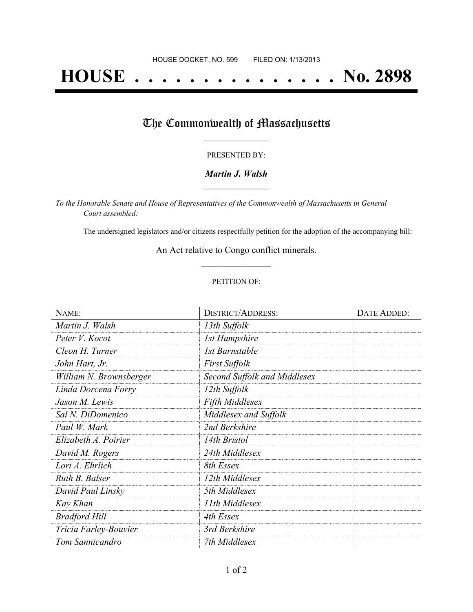# **HOUSE . . . . . . . . . . . . . . . No. 2898**

## The Commonwealth of Massachusetts

#### PRESENTED BY:

#### *Martin J. Walsh* **\_\_\_\_\_\_\_\_\_\_\_\_\_\_\_\_\_**

*To the Honorable Senate and House of Representatives of the Commonwealth of Massachusetts in General Court assembled:*

The undersigned legislators and/or citizens respectfully petition for the adoption of the accompanying bill:

An Act relative to Congo conflict minerals. **\_\_\_\_\_\_\_\_\_\_\_\_\_\_\_**

#### PETITION OF:

| NAME:                   | <b>DISTRICT/ADDRESS:</b>     | DATE ADDED: |
|-------------------------|------------------------------|-------------|
| Martin J. Walsh         | 13th Suffolk                 |             |
| Peter V. Kocot          | <b>1st Hampshire</b>         |             |
| Cleon H. Turner         | 1st Barnstable               |             |
| John Hart, Jr.          | <b>First Suffolk</b>         |             |
| William N. Brownsberger | Second Suffolk and Middlesex |             |
| Linda Dorcena Forry     | 12th Suffolk                 |             |
| Jason M. Lewis          | <b>Fifth Middlesex</b>       |             |
| Sal N. DiDomenico       | Middlesex and Suffolk        |             |
| Paul W. Mark            | 2nd Berkshire                |             |
| Elizabeth A. Poirier    | 14th Bristol                 |             |
| David M. Rogers         | 24th Middlesex               |             |
| Lori A. Ehrlich         | 8th Essex                    |             |
| Ruth B. Balser          | 12th Middlesex               |             |
| David Paul Linsky       | 5th Middlesex                |             |
| Kay Khan                | 11th Middlesex               |             |
| <b>Bradford Hill</b>    | 4th Essex                    |             |
| Tricia Farley-Bouvier   | 3rd Berkshire                |             |
| Tom Sannicandro         | 7th Middlesex                |             |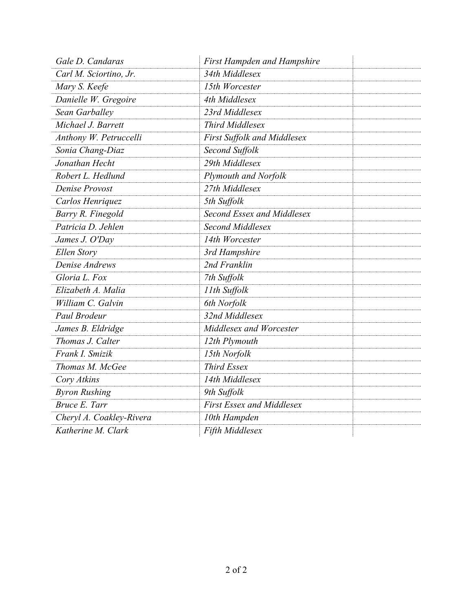| Gale D. Candaras         | <b>First Hampden and Hampshire</b> |  |
|--------------------------|------------------------------------|--|
| Carl M. Sciortino, Jr.   | 34th Middlesex                     |  |
| Mary S. Keefe            | 15th Worcester                     |  |
| Danielle W. Gregoire     | 4th Middlesex                      |  |
| Sean Garballey           | 23rd Middlesex                     |  |
| Michael J. Barrett       | Third Middlesex                    |  |
| Anthony W. Petruccelli   | First Suffolk and Middlesex        |  |
| Sonia Chang-Diaz         | Second Suffolk                     |  |
| Jonathan Hecht           | 29th Middlesex                     |  |
| Robert L. Hedlund        | Plymouth and Norfolk               |  |
| Denise Provost           | 27th Middlesex                     |  |
| Carlos Henriquez         | 5th Suffolk                        |  |
| Barry R. Finegold        | Second Essex and Middlesex         |  |
| Patricia D. Jehlen       | Second Middlesex                   |  |
| James J. O'Day           | 14th Worcester                     |  |
| Ellen Story              | 3rd Hampshire                      |  |
| Denise Andrews           | 2nd Franklin                       |  |
| Gloria L. Fox            | 7th Suffolk                        |  |
| Elizabeth A. Malia       | 11th Suffolk                       |  |
| William C. Galvin        | 6th Norfolk                        |  |
| Paul Brodeur             | 32nd Middlesex                     |  |
| James B. Eldridge        | Middlesex and Worcester            |  |
| Thomas J. Calter         | 12th Plymouth                      |  |
| Frank I. Smizik          | 15th Norfolk                       |  |
| Thomas M. McGee          | <b>Third Essex</b>                 |  |
| Cory Atkins              | 14th Middlesex                     |  |
| <b>Byron Rushing</b>     | 9th Suffolk                        |  |
| Bruce E. Tarr            | <b>First Essex and Middlesex</b>   |  |
| Cheryl A. Coakley-Rivera | 10th Hampden                       |  |
| Katherine M. Clark       | Fifth Middlesex                    |  |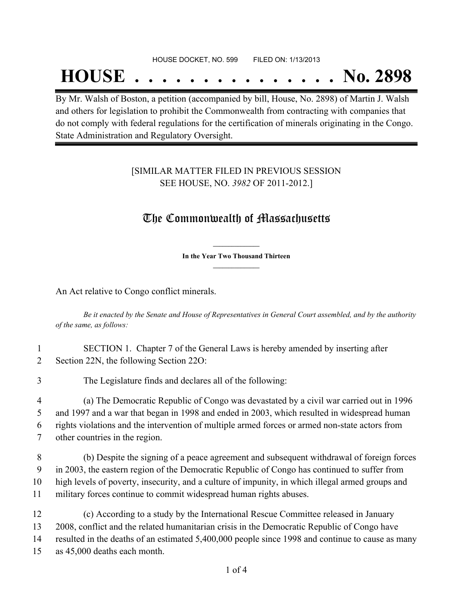#### HOUSE DOCKET, NO. 599 FILED ON: 1/13/2013

## **HOUSE . . . . . . . . . . . . . . . No. 2898**

By Mr. Walsh of Boston, a petition (accompanied by bill, House, No. 2898) of Martin J. Walsh and others for legislation to prohibit the Commonwealth from contracting with companies that do not comply with federal regulations for the certification of minerals originating in the Congo. State Administration and Regulatory Oversight.

#### [SIMILAR MATTER FILED IN PREVIOUS SESSION SEE HOUSE, NO. *3982* OF 2011-2012.]

### The Commonwealth of Massachusetts

**\_\_\_\_\_\_\_\_\_\_\_\_\_\_\_ In the Year Two Thousand Thirteen \_\_\_\_\_\_\_\_\_\_\_\_\_\_\_**

An Act relative to Congo conflict minerals.

Be it enacted by the Senate and House of Representatives in General Court assembled, and by the authority *of the same, as follows:*

1 SECTION 1. Chapter 7 of the General Laws is hereby amended by inserting after 2 Section 22N, the following Section 22O:

3 The Legislature finds and declares all of the following:

 (a) The Democratic Republic of Congo was devastated by a civil war carried out in 1996 and 1997 and a war that began in 1998 and ended in 2003, which resulted in widespread human rights violations and the intervention of multiple armed forces or armed non-state actors from other countries in the region.

 (b) Despite the signing of a peace agreement and subsequent withdrawal of foreign forces in 2003, the eastern region of the Democratic Republic of Congo has continued to suffer from high levels of poverty, insecurity, and a culture of impunity, in which illegal armed groups and military forces continue to commit widespread human rights abuses.

 (c) According to a study by the International Rescue Committee released in January 2008, conflict and the related humanitarian crisis in the Democratic Republic of Congo have 14 resulted in the deaths of an estimated 5,400,000 people since 1998 and continue to cause as many as 45,000 deaths each month.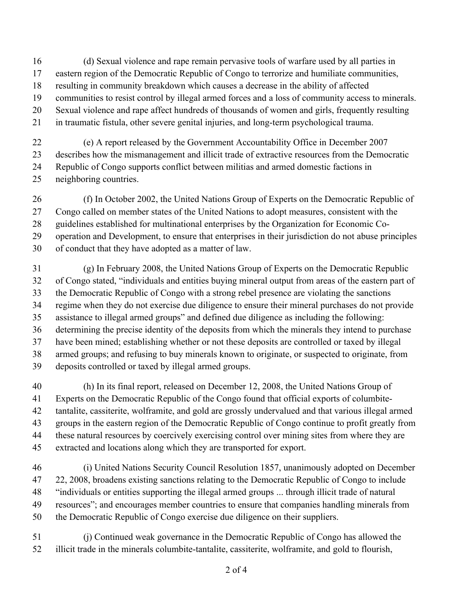(d) Sexual violence and rape remain pervasive tools of warfare used by all parties in

- eastern region of the Democratic Republic of Congo to terrorize and humiliate communities,
- resulting in community breakdown which causes a decrease in the ability of affected
- communities to resist control by illegal armed forces and a loss of community access to minerals.
- Sexual violence and rape affect hundreds of thousands of women and girls, frequently resulting
- in traumatic fistula, other severe genital injuries, and long-term psychological trauma.
- (e) A report released by the Government Accountability Office in December 2007 describes how the mismanagement and illicit trade of extractive resources from the Democratic Republic of Congo supports conflict between militias and armed domestic factions in neighboring countries.
- (f) In October 2002, the United Nations Group of Experts on the Democratic Republic of Congo called on member states of the United Nations to adopt measures, consistent with the guidelines established for multinational enterprises by the Organization for Economic Co- operation and Development, to ensure that enterprises in their jurisdiction do not abuse principles of conduct that they have adopted as a matter of law.
- (g) In February 2008, the United Nations Group of Experts on the Democratic Republic of Congo stated, "individuals and entities buying mineral output from areas of the eastern part of the Democratic Republic of Congo with a strong rebel presence are violating the sanctions regime when they do not exercise due diligence to ensure their mineral purchases do not provide assistance to illegal armed groups" and defined due diligence as including the following: determining the precise identity of the deposits from which the minerals they intend to purchase have been mined; establishing whether or not these deposits are controlled or taxed by illegal armed groups; and refusing to buy minerals known to originate, or suspected to originate, from deposits controlled or taxed by illegal armed groups.
- (h) In its final report, released on December 12, 2008, the United Nations Group of Experts on the Democratic Republic of the Congo found that official exports of columbite- tantalite, cassiterite, wolframite, and gold are grossly undervalued and that various illegal armed groups in the eastern region of the Democratic Republic of Congo continue to profit greatly from these natural resources by coercively exercising control over mining sites from where they are extracted and locations along which they are transported for export.
- (i) United Nations Security Council Resolution 1857, unanimously adopted on December 22, 2008, broadens existing sanctions relating to the Democratic Republic of Congo to include "individuals or entities supporting the illegal armed groups ... through illicit trade of natural resources"; and encourages member countries to ensure that companies handling minerals from the Democratic Republic of Congo exercise due diligence on their suppliers.
- (j) Continued weak governance in the Democratic Republic of Congo has allowed the illicit trade in the minerals columbite-tantalite, cassiterite, wolframite, and gold to flourish,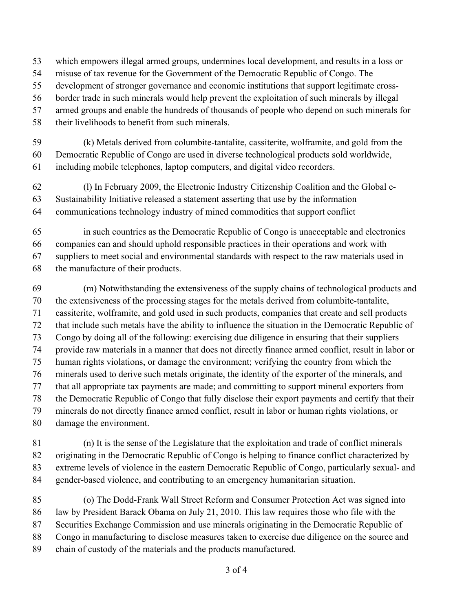- which empowers illegal armed groups, undermines local development, and results in a loss or
- misuse of tax revenue for the Government of the Democratic Republic of Congo. The
- development of stronger governance and economic institutions that support legitimate cross-
- border trade in such minerals would help prevent the exploitation of such minerals by illegal
- armed groups and enable the hundreds of thousands of people who depend on such minerals for
- their livelihoods to benefit from such minerals.
- (k) Metals derived from columbite-tantalite, cassiterite, wolframite, and gold from the Democratic Republic of Congo are used in diverse technological products sold worldwide, including mobile telephones, laptop computers, and digital video recorders.
- (l) In February 2009, the Electronic Industry Citizenship Coalition and the Global e- Sustainability Initiative released a statement asserting that use by the information communications technology industry of mined commodities that support conflict
- in such countries as the Democratic Republic of Congo is unacceptable and electronics companies can and should uphold responsible practices in their operations and work with suppliers to meet social and environmental standards with respect to the raw materials used in the manufacture of their products.
- (m) Notwithstanding the extensiveness of the supply chains of technological products and the extensiveness of the processing stages for the metals derived from columbite-tantalite, cassiterite, wolframite, and gold used in such products, companies that create and sell products that include such metals have the ability to influence the situation in the Democratic Republic of Congo by doing all of the following: exercising due diligence in ensuring that their suppliers provide raw materials in a manner that does not directly finance armed conflict, result in labor or human rights violations, or damage the environment; verifying the country from which the minerals used to derive such metals originate, the identity of the exporter of the minerals, and that all appropriate tax payments are made; and committing to support mineral exporters from the Democratic Republic of Congo that fully disclose their export payments and certify that their minerals do not directly finance armed conflict, result in labor or human rights violations, or damage the environment.
- (n) It is the sense of the Legislature that the exploitation and trade of conflict minerals originating in the Democratic Republic of Congo is helping to finance conflict characterized by extreme levels of violence in the eastern Democratic Republic of Congo, particularly sexual- and gender-based violence, and contributing to an emergency humanitarian situation.
- (o) The Dodd-Frank Wall Street Reform and Consumer Protection Act was signed into law by President Barack Obama on July 21, 2010. This law requires those who file with the Securities Exchange Commission and use minerals originating in the Democratic Republic of Congo in manufacturing to disclose measures taken to exercise due diligence on the source and chain of custody of the materials and the products manufactured.